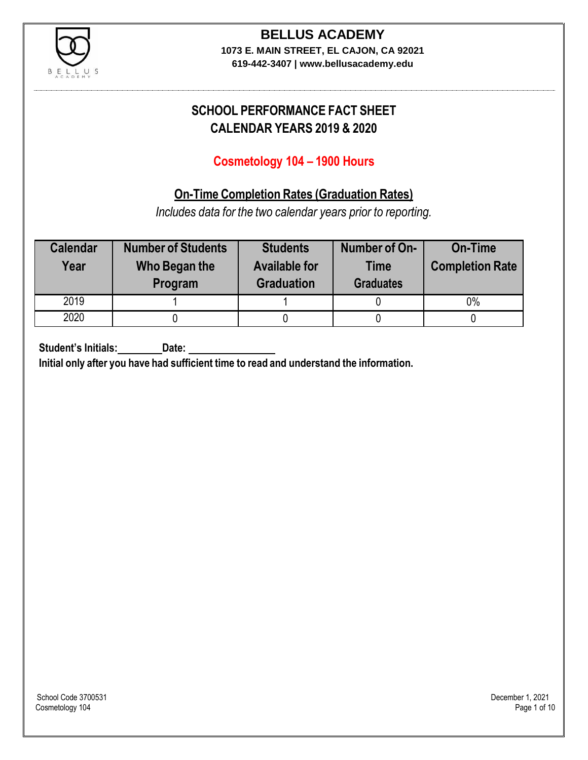

**619-442-3407 | www.bellusacademy.edu**

# **SCHOOL PERFORMANCE FACT SHEET CALENDAR YEARS 2019 & 2020**

## **Cosmetology 104 – 1900 Hours**

## **On-Time Completion Rates (Graduation Rates)**

*Includes data for the two calendar years prior to reporting.*

| <b>Calendar</b><br>Year | <b>Number of Students</b><br>Who Began the<br>Program | <b>Students</b><br><b>Available for</b><br><b>Graduation</b> | Number of On-<br><b>Time</b><br><b>Graduates</b> | <b>On-Time</b><br><b>Completion Rate</b> |
|-------------------------|-------------------------------------------------------|--------------------------------------------------------------|--------------------------------------------------|------------------------------------------|
| 2019                    |                                                       |                                                              |                                                  | $0\%$                                    |
| 2020                    |                                                       |                                                              |                                                  |                                          |

**Student's Initials: Date:**

**Initial only after you have had sufficient time to read and understand the information.**

School Code 3700531 December 1, 2021<br>Cosmetology 104 Page 1 of 10 Cosmetology 104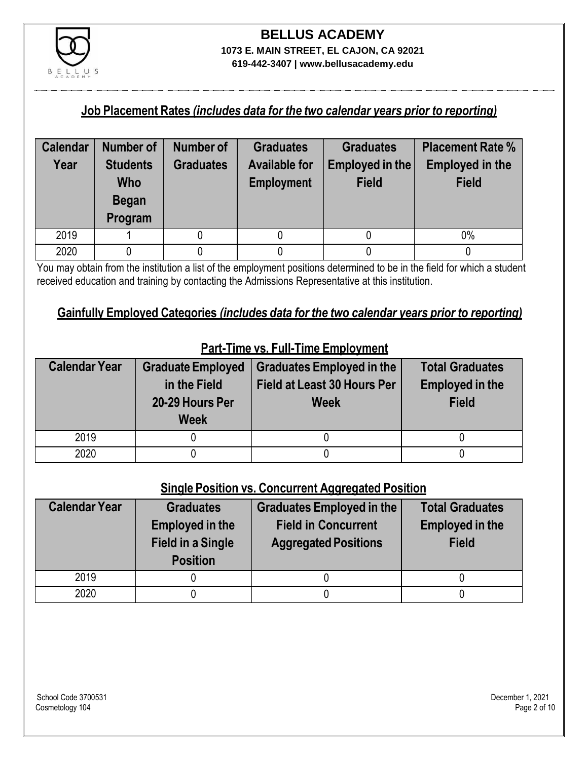

**619-442-3407 | www.bellusacademy.edu**

#### **Job Placement Rates** *(includes data for the two calendar years prior to reporting)*

| <b>Calendar</b> | Number of                                                | Number of        | <b>Graduates</b>                          | <b>Graduates</b>                | <b>Placement Rate %</b>                |
|-----------------|----------------------------------------------------------|------------------|-------------------------------------------|---------------------------------|----------------------------------------|
| Year            | <b>Students</b><br><b>Who</b><br><b>Began</b><br>Program | <b>Graduates</b> | <b>Available for</b><br><b>Employment</b> | Employed in the<br><b>Field</b> | <b>Employed in the</b><br><b>Field</b> |
| 2019            |                                                          |                  |                                           |                                 | $0\%$                                  |
| 2020            |                                                          |                  |                                           |                                 |                                        |

You may obtain from the institution a list of the employment positions determined to be in the field for which a student received education and training by contacting the Admissions Representative at this institution.

## **Gainfully Employed Categories** *(includes data for the two calendar years prior to reporting)*

| <b>Calendar Year</b> | <b>Graduate Employed</b><br>in the Field<br>20-29 Hours Per<br><b>Week</b> | <b>Graduates Employed in the</b><br><b>Field at Least 30 Hours Per</b><br><b>Week</b> | <b>Total Graduates</b><br><b>Employed in the</b><br><b>Field</b> |
|----------------------|----------------------------------------------------------------------------|---------------------------------------------------------------------------------------|------------------------------------------------------------------|
| 2019                 |                                                                            |                                                                                       |                                                                  |
| 2020                 |                                                                            |                                                                                       |                                                                  |

## **Part-Time vs. Full-Time Employment**

#### **Single Position vs. Concurrent Aggregated Position**

| <b>Calendar Year</b> | <b>Graduates</b><br><b>Employed in the</b><br><b>Field in a Single</b><br><b>Position</b> | Graduates Employed in the<br><b>Field in Concurrent</b><br><b>Aggregated Positions</b> | <b>Total Graduates</b><br><b>Employed in the</b><br><b>Field</b> |
|----------------------|-------------------------------------------------------------------------------------------|----------------------------------------------------------------------------------------|------------------------------------------------------------------|
| 2019                 |                                                                                           |                                                                                        |                                                                  |
| 2020                 |                                                                                           |                                                                                        |                                                                  |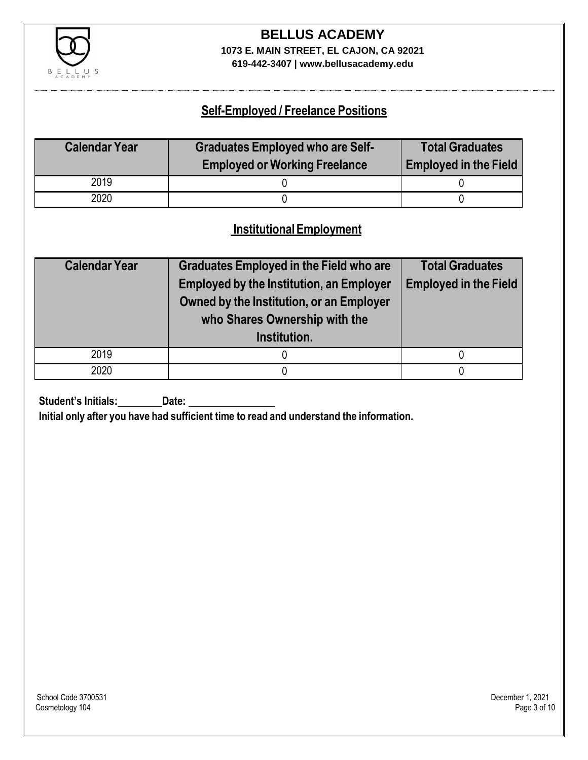

**619-442-3407 | www.bellusacademy.edu**

## **Self-Employed / Freelance Positions**

| <b>Calendar Year</b> | <b>Graduates Employed who are Self-</b><br><b>Employed or Working Freelance</b> | <b>Total Graduates</b><br><b>Employed in the Field</b> |
|----------------------|---------------------------------------------------------------------------------|--------------------------------------------------------|
| 2019                 |                                                                                 |                                                        |
| 2020                 |                                                                                 |                                                        |

## **InstitutionalEmployment**

| <b>Calendar Year</b> | <b>Graduates Employed in the Field who are</b><br><b>Employed by the Institution, an Employer</b><br>Owned by the Institution, or an Employer<br>who Shares Ownership with the | <b>Total Graduates</b><br><b>Employed in the Field</b> |  |
|----------------------|--------------------------------------------------------------------------------------------------------------------------------------------------------------------------------|--------------------------------------------------------|--|
|                      | Institution.                                                                                                                                                                   |                                                        |  |
| 2019                 |                                                                                                                                                                                |                                                        |  |
| 2020                 |                                                                                                                                                                                |                                                        |  |

**Student's Initials:** Date:

**Initial only after you have had sufficient time to read and understand the information.**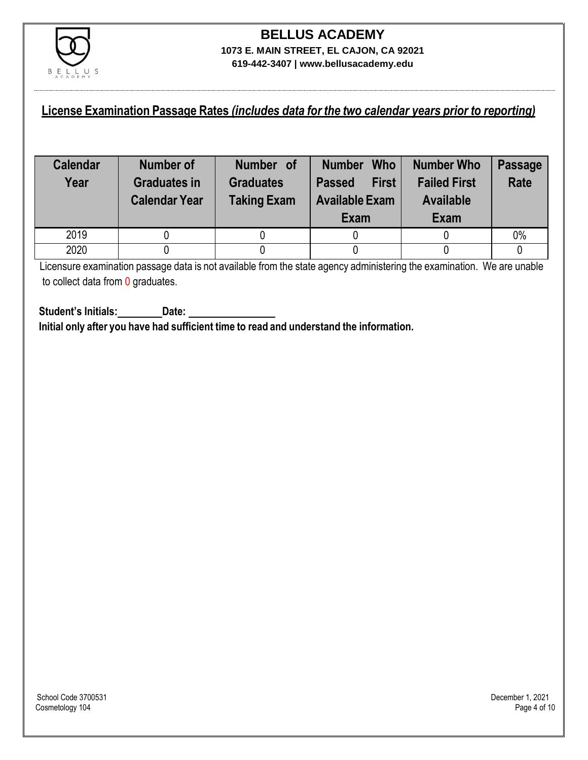

## **License Examination Passage Rates** *(includes data for the two calendar years prior to reporting)*

| <b>Calendar</b><br>Year | Number of<br><b>Graduates in</b><br><b>Calendar Year</b> | Number of<br><b>Graduates</b><br><b>Taking Exam</b> | <b>Who</b><br><b>Number</b><br><b>First</b><br><b>Passed</b><br><b>Available Exam</b><br>Exam | <b>Number Who</b><br><b>Failed First</b><br><b>Available</b><br>Exam | <b>Passage</b><br><b>Rate</b> |
|-------------------------|----------------------------------------------------------|-----------------------------------------------------|-----------------------------------------------------------------------------------------------|----------------------------------------------------------------------|-------------------------------|
| 2019                    |                                                          |                                                     |                                                                                               |                                                                      | 0%                            |
| 2020                    |                                                          |                                                     |                                                                                               |                                                                      |                               |

Licensure examination passage data is not available from the state agency administering the examination. We are unable to collect data from 0 graduates.

**Student's Initials: Date: Initial only after you have had sufficient time to read and understand the information.**

School Code 3700531 December 1, 2021<br>Cosmetology 104 Page 4 of 10 Cosmetology 104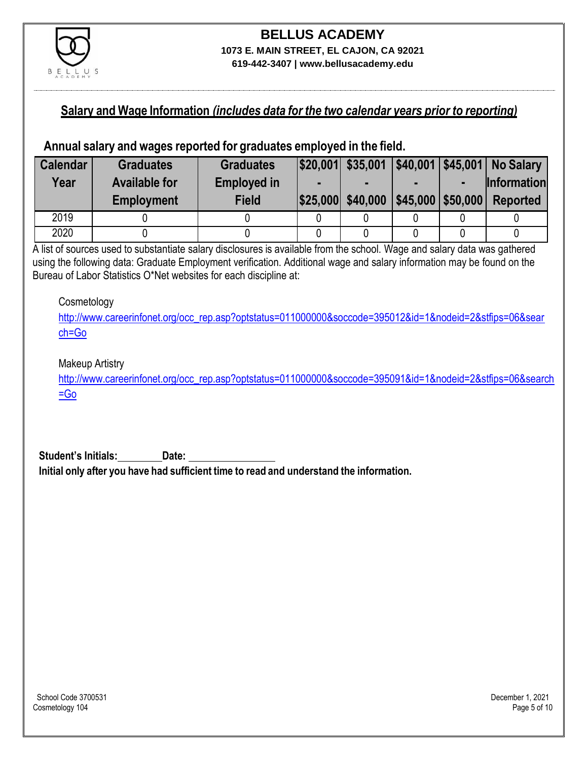

#### **Salary and Wage Information** *(includes data for the two calendar years prior to reporting)*

#### **Annual salary and wages reported for graduates employed in the field.**

| <b>Calendar</b> | <b>Graduates</b>     | <b>Graduates</b>   |                   |                         | \$20,001 \$35,001 \$40,001 \$45,001 No Salary |
|-----------------|----------------------|--------------------|-------------------|-------------------------|-----------------------------------------------|
| Year            | <b>Available for</b> | <b>Employed in</b> |                   |                         | <b>Information</b>                            |
|                 | <b>Employment</b>    | <b>Field</b>       | \$25,000 \$40,000 | $ $45,000$ \ \$50,000 \ | <b>Reported</b>                               |
| 2019            |                      |                    |                   |                         |                                               |
| 2020            |                      |                    |                   |                         |                                               |

A list of sources used to substantiate salary disclosures is available from the school. Wage and salary data was gathered using the following data: Graduate Employment verification. Additional wage and salary information may be found on the Bureau of Labor Statistics O\*Net websites for each discipline at:

#### **Cosmetology**

[http://www.careerinfonet.org/occ\\_rep.asp?optstatus=011000000&soccode=395012&id=1&nodeid=2&stfips=06&sear](http://www.careerinfonet.org/occ_rep.asp?optstatus=011000000&soccode=395012&id=1&nodeid=2&stfips=06&search=Go) [ch=Go](http://www.careerinfonet.org/occ_rep.asp?optstatus=011000000&soccode=395012&id=1&nodeid=2&stfips=06&search=Go)

#### Makeup Artistry

[http://www.careerinfonet.org/occ\\_rep.asp?optstatus=011000000&soccode=395091&id=1&nodeid=2&stfips=06&search](http://www.careerinfonet.org/occ_rep.asp?optstatus=011000000&soccode=395091&id=1&nodeid=2&stfips=06&search=Go) [=Go](http://www.careerinfonet.org/occ_rep.asp?optstatus=011000000&soccode=395091&id=1&nodeid=2&stfips=06&search=Go)

**Student's Initials: Date: Initial only after you have had sufficient time to read and understand the information.**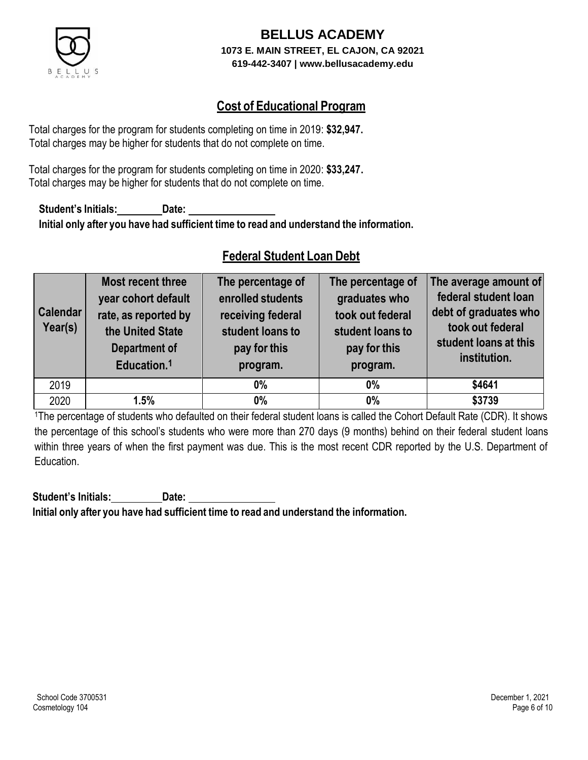

## **Cost of Educational Program**

Total charges for the program for students completing on time in 2019: **\$32,947.** Total charges may be higher for students that do not complete on time.

Total charges for the program for students completing on time in 2020: **\$33,247.** Total charges may be higher for students that do not complete on time.

**Student's Initials: Date: Initial only after you have had sufficient time to read and understand the information.**

## **Federal Student Loan Debt**

| <b>Calendar</b><br>Year(s) | <b>Most recent three</b><br>year cohort default<br>rate, as reported by<br>the United State<br><b>Department of</b><br>Education. <sup>1</sup> | The percentage of<br>enrolled students<br>receiving federal<br>student loans to<br>pay for this<br>program. | The percentage of<br>graduates who<br>took out federal<br>student loans to<br>pay for this<br>program. | The average amount of<br>federal student loan<br>debt of graduates who<br>took out federal<br>student loans at this<br>institution. |
|----------------------------|------------------------------------------------------------------------------------------------------------------------------------------------|-------------------------------------------------------------------------------------------------------------|--------------------------------------------------------------------------------------------------------|-------------------------------------------------------------------------------------------------------------------------------------|
| 2019                       |                                                                                                                                                | $0\%$                                                                                                       | $0\%$                                                                                                  | \$4641                                                                                                                              |
| 2020                       | 1.5%                                                                                                                                           | $0\%$                                                                                                       | 0%                                                                                                     | \$3739                                                                                                                              |

<sup>1</sup>The percentage of students who defaulted on their federal student loans is called the Cohort Default Rate (CDR). It shows the percentage of this school's students who were more than 270 days (9 months) behind on their federal student loans within three years of when the first payment was due. This is the most recent CDR reported by the U.S. Department of Education.

**Student's Initials: Date: Initial only after you have had sufficient time to read and understand the information.**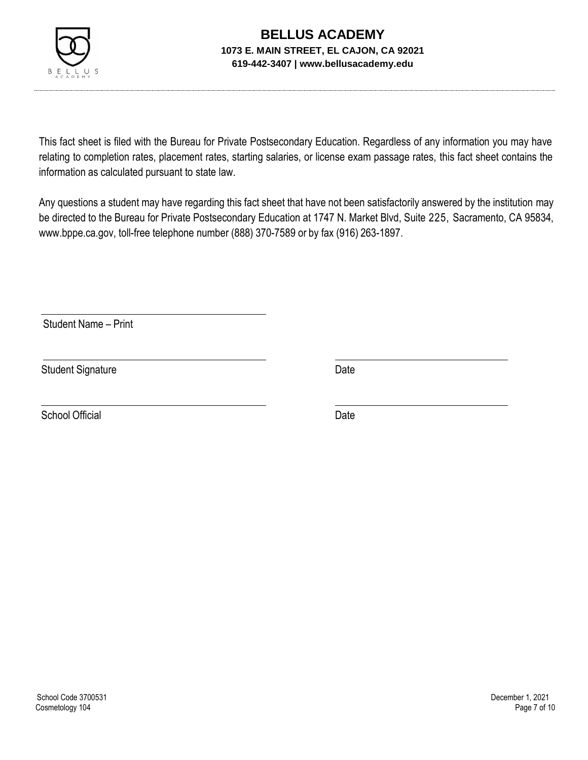

This fact sheet is filed with the Bureau for Private Postsecondary Education. Regardless of any information you may have relating to completion rates, placement rates, starting salaries, or license exam passage rates, this fact sheet contains the information as calculated pursuant to state law.

Any questions a student may have regarding this fact sheet that have not been satisfactorily answered by the institution may be directed to the Bureau for Private Postsecondary Education at 1747 N. Market Blvd, Suite 225, Sacramento, CA 95834, [www.bppe.ca.gov,](http://www.bppe.ca.gov/) toll-free telephone number (888) 370-7589 or by fax (916) 263-1897.

Student Name – Print

Student Signature Date

School Official Date Date Date Date Date Date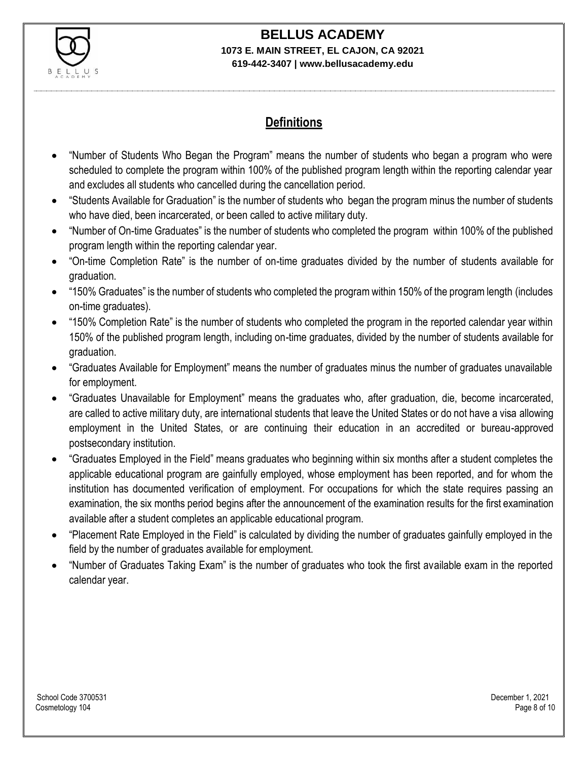

# **BELLUS ACADEMY**

#### **1073 E. MAIN STREET, EL CAJON, CA 92021 619-442-3407 | www.bellusacademy.edu**

## **Definitions**

- "Number of Students Who Began the Program" means the number of students who began a program who were scheduled to complete the program within 100% of the published program length within the reporting calendar year and excludes all students who cancelled during the cancellation period.
- "Students Available for Graduation" is the number of students who began the program minus the number of students who have died, been incarcerated, or been called to active military duty.
- "Number of On-time Graduates" is the number of students who completed the program within 100% of the published program length within the reporting calendar year.
- "On-time Completion Rate" is the number of on-time graduates divided by the number of students available for graduation.
- "150% Graduates" is the number of students who completed the program within 150% of the program length (includes on-time graduates).
- "150% Completion Rate" is the number of students who completed the program in the reported calendar year within 150% of the published program length, including on-time graduates, divided by the number of students available for graduation.
- "Graduates Available for Employment" means the number of graduates minus the number of graduates unavailable for employment.
- "Graduates Unavailable for Employment" means the graduates who, after graduation, die, become incarcerated, are called to active military duty, are international students that leave the United States or do not have a visa allowing employment in the United States, or are continuing their education in an accredited or bureau-approved postsecondary institution.
- "Graduates Employed in the Field" means graduates who beginning within six months after a student completes the applicable educational program are gainfully employed, whose employment has been reported, and for whom the institution has documented verification of employment. For occupations for which the state requires passing an examination, the six months period begins after the announcement of the examination results for the first examination available after a student completes an applicable educational program.
- "Placement Rate Employed in the Field" is calculated by dividing the number of graduates gainfully employed in the field by the number of graduates available for employment.
- "Number of Graduates Taking Exam" is the number of graduates who took the first available exam in the reported calendar year.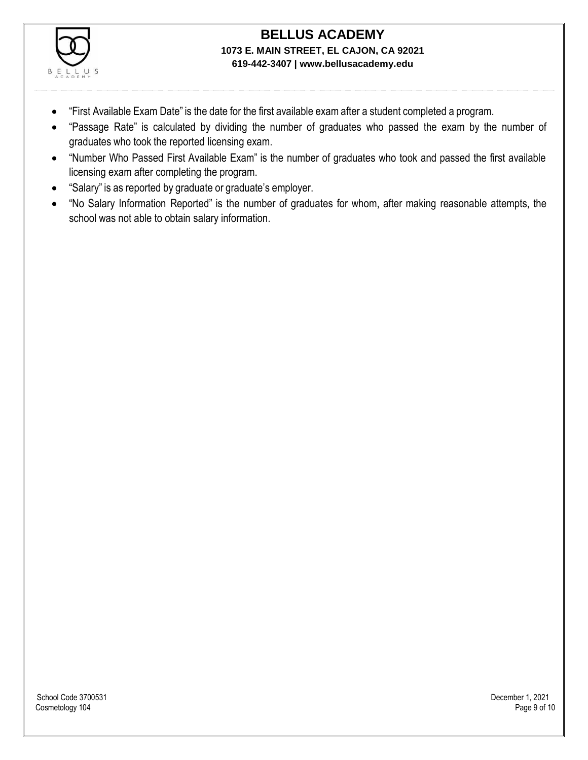

- "First Available Exam Date" is the date for the first available exam after a student completed a program.
- "Passage Rate" is calculated by dividing the number of graduates who passed the exam by the number of graduates who took the reported licensing exam.
- "Number Who Passed First Available Exam" is the number of graduates who took and passed the first available licensing exam after completing the program.
- "Salary" is as reported by graduate or graduate's employer.
- "No Salary Information Reported" is the number of graduates for whom, after making reasonable attempts, the school was not able to obtain salary information.